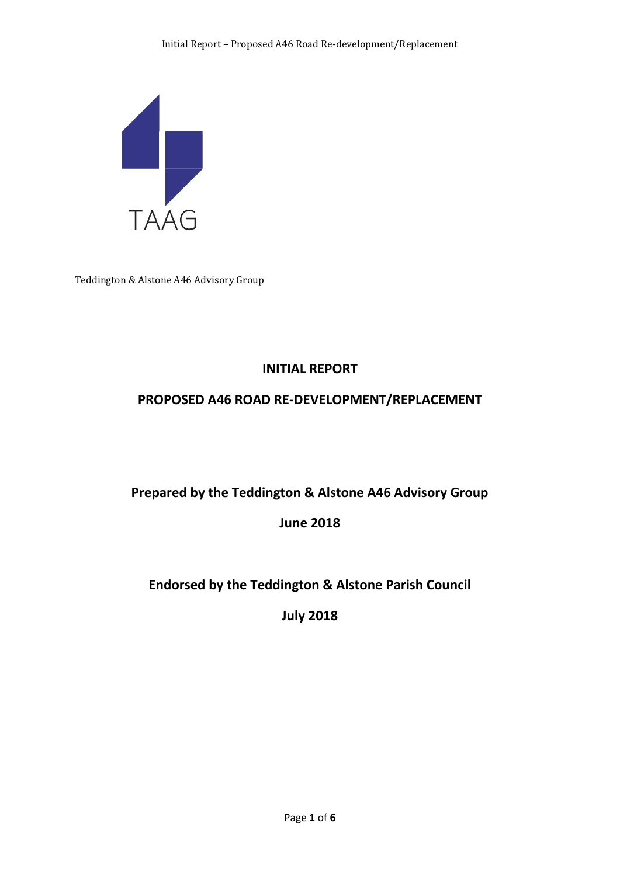

Teddington & Alstone A46 Advisory Group

# **INITIAL REPORT**

## **PROPOSED A46 ROAD RE-DEVELOPMENT/REPLACEMENT**

## **Prepared by the Teddington & Alstone A46 Advisory Group**

## **June 2018**

# **Endorsed by the Teddington & Alstone Parish Council**

**July 2018**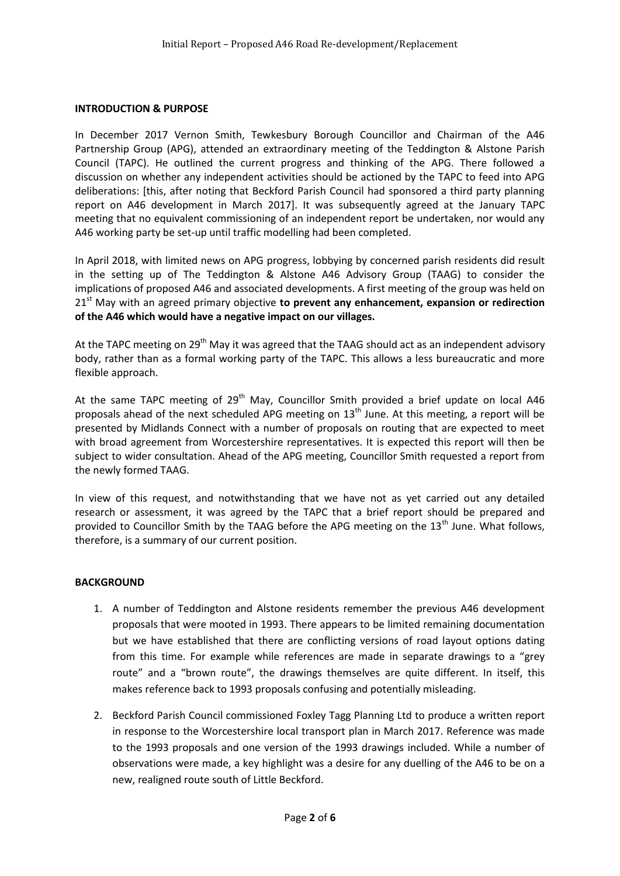#### **INTRODUCTION & PURPOSE**

In December 2017 Vernon Smith, Tewkesbury Borough Councillor and Chairman of the A46 Partnership Group (APG), attended an extraordinary meeting of the Teddington & Alstone Parish Council (TAPC). He outlined the current progress and thinking of the APG. There followed a discussion on whether any independent activities should be actioned by the TAPC to feed into APG deliberations: [this, after noting that Beckford Parish Council had sponsored a third party planning report on A46 development in March 2017]. It was subsequently agreed at the January TAPC meeting that no equivalent commissioning of an independent report be undertaken, nor would any A46 working party be set-up until traffic modelling had been completed.

In April 2018, with limited news on APG progress, lobbying by concerned parish residents did result in the setting up of The Teddington & Alstone A46 Advisory Group (TAAG) to consider the implications of proposed A46 and associated developments. A first meeting of the group was held on 21 st May with an agreed primary objective **to prevent any enhancement, expansion or redirection of the A46 which would have a negative impact on our villages.**

At the TAPC meeting on 29<sup>th</sup> May it was agreed that the TAAG should act as an independent advisory body, rather than as a formal working party of the TAPC. This allows a less bureaucratic and more flexible approach.

At the same TAPC meeting of 29<sup>th</sup> May, Councillor Smith provided a brief update on local A46 proposals ahead of the next scheduled APG meeting on  $13<sup>th</sup>$  June. At this meeting, a report will be presented by Midlands Connect with a number of proposals on routing that are expected to meet with broad agreement from Worcestershire representatives. It is expected this report will then be subject to wider consultation. Ahead of the APG meeting, Councillor Smith requested a report from the newly formed TAAG.

In view of this request, and notwithstanding that we have not as yet carried out any detailed research or assessment, it was agreed by the TAPC that a brief report should be prepared and provided to Councillor Smith by the TAAG before the APG meeting on the  $13<sup>th</sup>$  June. What follows, therefore, is a summary of our current position.

#### **BACKGROUND**

- 1. A number of Teddington and Alstone residents remember the previous A46 development proposals that were mooted in 1993. There appears to be limited remaining documentation but we have established that there are conflicting versions of road layout options dating from this time. For example while references are made in separate drawings to a "grey route" and a "brown route", the drawings themselves are quite different. In itself, this makes reference back to 1993 proposals confusing and potentially misleading.
- 2. Beckford Parish Council commissioned Foxley Tagg Planning Ltd to produce a written report in response to the Worcestershire local transport plan in March 2017. Reference was made to the 1993 proposals and one version of the 1993 drawings included. While a number of observations were made, a key highlight was a desire for any duelling of the A46 to be on a new, realigned route south of Little Beckford.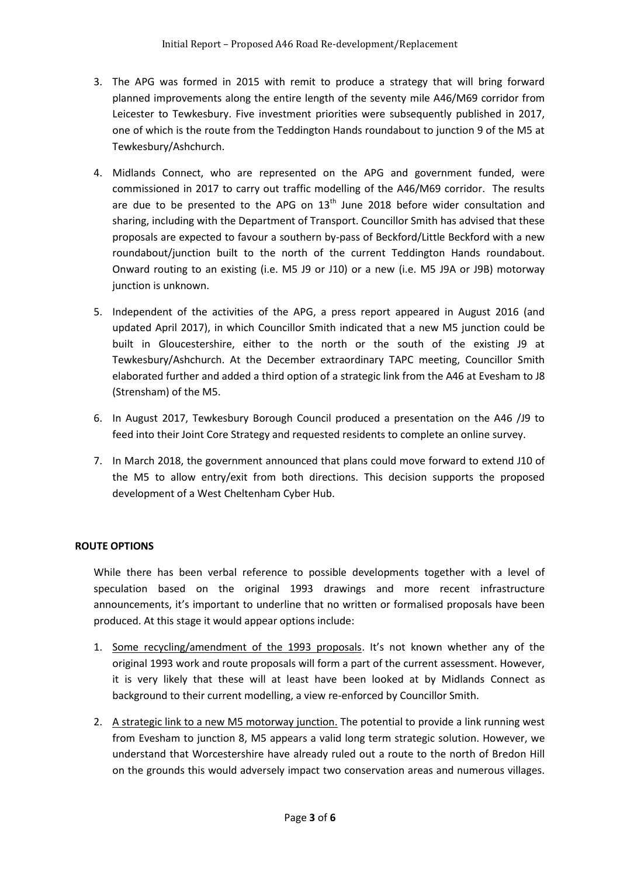- 3. The APG was formed in 2015 with remit to produce a strategy that will bring forward planned improvements along the entire length of the seventy mile A46/M69 corridor from Leicester to Tewkesbury. Five investment priorities were subsequently published in 2017, one of which is the route from the Teddington Hands roundabout to junction 9 of the M5 at Tewkesbury/Ashchurch.
- 4. Midlands Connect, who are represented on the APG and government funded, were commissioned in 2017 to carry out traffic modelling of the A46/M69 corridor. The results are due to be presented to the APG on  $13<sup>th</sup>$  June 2018 before wider consultation and sharing, including with the Department of Transport. Councillor Smith has advised that these proposals are expected to favour a southern by-pass of Beckford/Little Beckford with a new roundabout/junction built to the north of the current Teddington Hands roundabout. Onward routing to an existing (i.e. M5 J9 or J10) or a new (i.e. M5 J9A or J9B) motorway junction is unknown.
- 5. Independent of the activities of the APG, a press report appeared in August 2016 (and updated April 2017), in which Councillor Smith indicated that a new M5 junction could be built in Gloucestershire, either to the north or the south of the existing J9 at Tewkesbury/Ashchurch. At the December extraordinary TAPC meeting, Councillor Smith elaborated further and added a third option of a strategic link from the A46 at Evesham to J8 (Strensham) of the M5.
- 6. In August 2017, Tewkesbury Borough Council produced a presentation on the A46 /J9 to feed into their Joint Core Strategy and requested residents to complete an online survey.
- 7. In March 2018, the government announced that plans could move forward to extend J10 of the M5 to allow entry/exit from both directions. This decision supports the proposed development of a West Cheltenham Cyber Hub.

## **ROUTE OPTIONS**

While there has been verbal reference to possible developments together with a level of speculation based on the original 1993 drawings and more recent infrastructure announcements, it's important to underline that no written or formalised proposals have been produced. At this stage it would appear options include:

- 1. Some recycling/amendment of the 1993 proposals. It's not known whether any of the original 1993 work and route proposals will form a part of the current assessment. However, it is very likely that these will at least have been looked at by Midlands Connect as background to their current modelling, a view re-enforced by Councillor Smith.
- 2. A strategic link to a new M5 motorway junction. The potential to provide a link running west from Evesham to junction 8, M5 appears a valid long term strategic solution. However, we understand that Worcestershire have already ruled out a route to the north of Bredon Hill on the grounds this would adversely impact two conservation areas and numerous villages.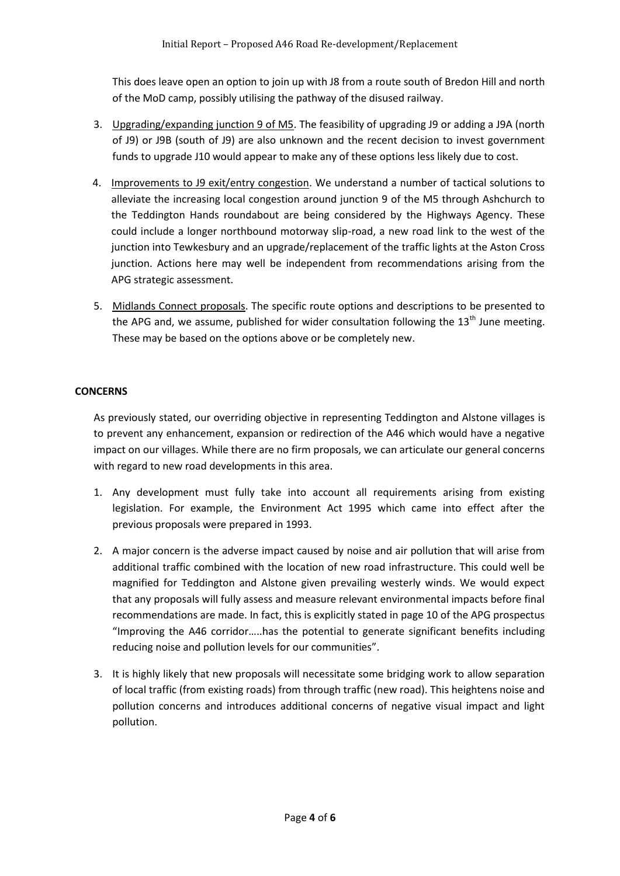This does leave open an option to join up with J8 from a route south of Bredon Hill and north of the MoD camp, possibly utilising the pathway of the disused railway.

- 3. Upgrading/expanding junction 9 of M5. The feasibility of upgrading J9 or adding a J9A (north of J9) or J9B (south of J9) are also unknown and the recent decision to invest government funds to upgrade J10 would appear to make any of these options less likely due to cost.
- 4. Improvements to J9 exit/entry congestion. We understand a number of tactical solutions to alleviate the increasing local congestion around junction 9 of the M5 through Ashchurch to the Teddington Hands roundabout are being considered by the Highways Agency. These could include a longer northbound motorway slip-road, a new road link to the west of the junction into Tewkesbury and an upgrade/replacement of the traffic lights at the Aston Cross junction. Actions here may well be independent from recommendations arising from the APG strategic assessment.
- 5. Midlands Connect proposals. The specific route options and descriptions to be presented to the APG and, we assume, published for wider consultation following the  $13<sup>th</sup>$  June meeting. These may be based on the options above or be completely new.

## **CONCERNS**

As previously stated, our overriding objective in representing Teddington and Alstone villages is to prevent any enhancement, expansion or redirection of the A46 which would have a negative impact on our villages. While there are no firm proposals, we can articulate our general concerns with regard to new road developments in this area.

- 1. Any development must fully take into account all requirements arising from existing legislation. For example, the Environment Act 1995 which came into effect after the previous proposals were prepared in 1993.
- 2. A major concern is the adverse impact caused by noise and air pollution that will arise from additional traffic combined with the location of new road infrastructure. This could well be magnified for Teddington and Alstone given prevailing westerly winds. We would expect that any proposals will fully assess and measure relevant environmental impacts before final recommendations are made. In fact, this is explicitly stated in page 10 of the APG prospectus "Improving the A46 corridor…..has the potential to generate significant benefits including reducing noise and pollution levels for our communities".
- 3. It is highly likely that new proposals will necessitate some bridging work to allow separation of local traffic (from existing roads) from through traffic (new road). This heightens noise and pollution concerns and introduces additional concerns of negative visual impact and light pollution.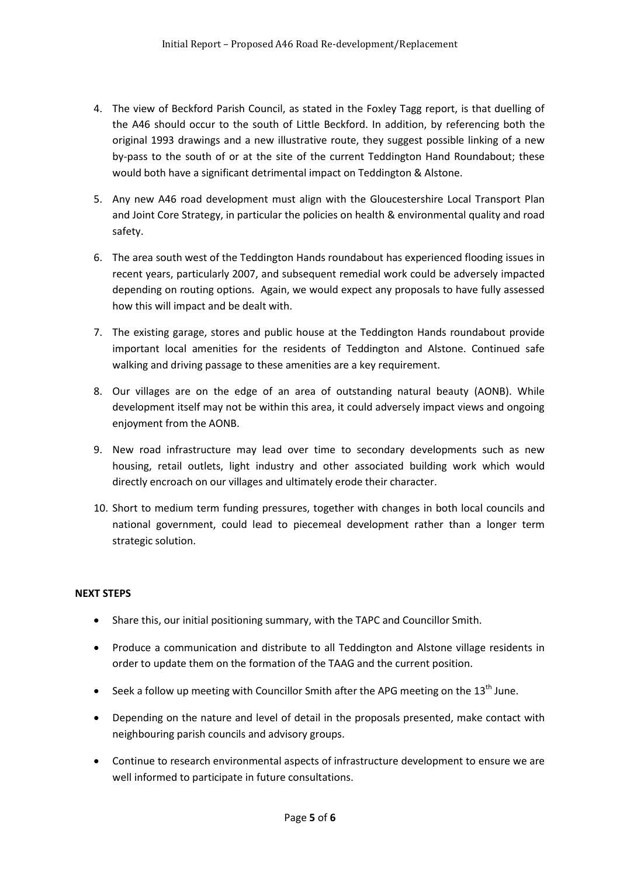- 4. The view of Beckford Parish Council, as stated in the Foxley Tagg report, is that duelling of the A46 should occur to the south of Little Beckford. In addition, by referencing both the original 1993 drawings and a new illustrative route, they suggest possible linking of a new by-pass to the south of or at the site of the current Teddington Hand Roundabout; these would both have a significant detrimental impact on Teddington & Alstone.
- 5. Any new A46 road development must align with the Gloucestershire Local Transport Plan and Joint Core Strategy, in particular the policies on health & environmental quality and road safety.
- 6. The area south west of the Teddington Hands roundabout has experienced flooding issues in recent years, particularly 2007, and subsequent remedial work could be adversely impacted depending on routing options. Again, we would expect any proposals to have fully assessed how this will impact and be dealt with.
- 7. The existing garage, stores and public house at the Teddington Hands roundabout provide important local amenities for the residents of Teddington and Alstone. Continued safe walking and driving passage to these amenities are a key requirement.
- 8. Our villages are on the edge of an area of outstanding natural beauty (AONB). While development itself may not be within this area, it could adversely impact views and ongoing enjoyment from the AONB.
- 9. New road infrastructure may lead over time to secondary developments such as new housing, retail outlets, light industry and other associated building work which would directly encroach on our villages and ultimately erode their character.
- 10. Short to medium term funding pressures, together with changes in both local councils and national government, could lead to piecemeal development rather than a longer term strategic solution.

## **NEXT STEPS**

- Share this, our initial positioning summary, with the TAPC and Councillor Smith.
- Produce a communication and distribute to all Teddington and Alstone village residents in order to update them on the formation of the TAAG and the current position.
- Seek a follow up meeting with Councillor Smith after the APG meeting on the  $13<sup>th</sup>$  June.
- Depending on the nature and level of detail in the proposals presented, make contact with neighbouring parish councils and advisory groups.
- Continue to research environmental aspects of infrastructure development to ensure we are well informed to participate in future consultations.